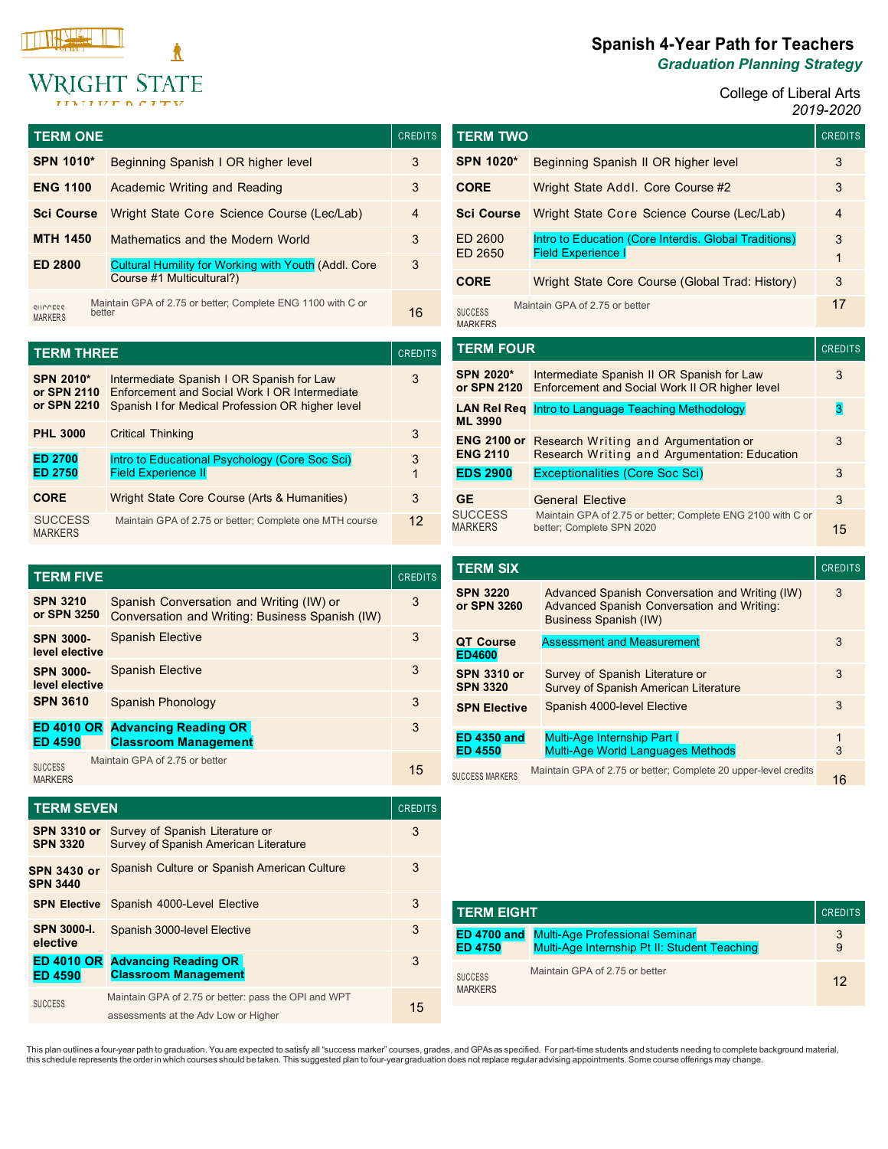

| <b>TERM ONE</b>     |                                                                                          | <b>CREDITS</b> |
|---------------------|------------------------------------------------------------------------------------------|----------------|
| <b>SPN 1010*</b>    | Beginning Spanish I OR higher level                                                      | 3              |
| <b>ENG 1100</b>     | Academic Writing and Reading                                                             | 3              |
| <b>Sci Course</b>   | Wright State Core Science Course (Lec/Lab)                                               | 4              |
| <b>MTH 1450</b>     | Mathematics and the Modern World                                                         | 3              |
| <b>ED 2800</b>      | <b>Cultural Humility for Working with Youth (Addl. Core</b><br>Course #1 Multicultural?) | 3              |
| CHICCECC<br>MARKERS | Maintain GPA of 2.75 or better; Complete ENG 1100 with C or<br>hetter                    | 16             |

| <b>TERM THREE</b>                              |                                                                                                                                               | <b>CREDITS</b> |
|------------------------------------------------|-----------------------------------------------------------------------------------------------------------------------------------------------|----------------|
| <b>SPN 2010*</b><br>or SPN 2110<br>or SPN 2210 | Intermediate Spanish I OR Spanish for Law<br>Enforcement and Social Work LOR Intermediate<br>Spanish I for Medical Profession OR higher level | 3              |
| <b>PHL 3000</b>                                | <b>Critical Thinking</b>                                                                                                                      | 3              |
| <b>ED 2700</b><br><b>ED 2750</b>               | Intro to Educational Psychology (Core Soc Sci)<br><b>Field Experience II</b>                                                                  | 3<br>1         |
| <b>CORE</b>                                    | Wright State Core Course (Arts & Humanities)                                                                                                  | 3              |
| <b>SUCCESS</b><br><b>MARKERS</b>               | Maintain GPA of 2.75 or better: Complete one MTH course                                                                                       | 12             |

| <b>TERM FIVE</b>                    |                                                                                             | <b>CREDITS</b> |
|-------------------------------------|---------------------------------------------------------------------------------------------|----------------|
| <b>SPN 3210</b><br>or SPN 3250      | Spanish Conversation and Writing (IW) or<br>Conversation and Writing: Business Spanish (IW) | 3              |
| <b>SPN 3000-</b><br>level elective  | Spanish Elective                                                                            | 3              |
| <b>SPN 3000-</b><br>level elective  | <b>Spanish Elective</b>                                                                     | 3              |
| <b>SPN 3610</b>                     | Spanish Phonology                                                                           | 3              |
| <b>ED 4010 OR</b><br><b>ED 4590</b> | <b>Advancing Reading OR</b><br><b>Classroom Management</b>                                  | 3              |
| <b>SUCCESS</b><br><b>MARKERS</b>    | Maintain GPA of 2.75 or better                                                              | 15             |

| <b>TERM SEVEN</b>                     |                                                                                              | <b>CREDITS</b> |
|---------------------------------------|----------------------------------------------------------------------------------------------|----------------|
| <b>SPN 3310 or</b><br><b>SPN 3320</b> | Survey of Spanish Literature or<br><b>Survey of Spanish American Literature</b>              | 3              |
| <b>SPN 3430 or</b><br><b>SPN 3440</b> | Spanish Culture or Spanish American Culture                                                  | 3              |
| <b>SPN Elective</b>                   | Spanish 4000-Level Elective                                                                  | 3              |
| <b>SPN 3000-L</b><br>elective         | Spanish 3000-level Elective                                                                  | 3              |
| <b>ED 4010 OR</b><br><b>ED 4590</b>   | <b>Advancing Reading OR</b><br><b>Classroom Management</b>                                   | 3              |
| <b>SUCCESS</b>                        | Maintain GPA of 2.75 or better: pass the OPI and WPT<br>assessments at the Adv Low or Higher | 15             |

# **Spanish 4-Year Path for Teachers** *Graduation Planning Strategy*

 $\blacksquare$  College of Liberal Arts  $\blacksquare$ *2019-2020*

| <b>TERM TWO</b>                       |                                                                                              | <b>CREDITS</b>    |
|---------------------------------------|----------------------------------------------------------------------------------------------|-------------------|
| SPN 1020*                             | Beginning Spanish II OR higher level                                                         | 3                 |
| <b>CORE</b>                           | Wright State Addl. Core Course #2                                                            | 3                 |
| <b>Sci Course</b>                     | <b>Wright State Core Science Course (Lec/Lab)</b>                                            | $\overline{4}$    |
| FD 2600<br>ED 2650                    | Intro to Education (Core Interdis. Global Traditions)<br><b>Field Experience I</b>           | 3<br>$\mathbf{1}$ |
| <b>CORE</b>                           | Wright State Core Course (Global Trad: History)                                              | 3                 |
| <b>SUCCESS</b><br><b>MARKERS</b>      | Maintain GPA of 2.75 or better                                                               | 17                |
|                                       |                                                                                              |                   |
| <b>TERM FOUR</b>                      |                                                                                              | <b>CREDITS</b>    |
| SPN 2020*<br>or SPN 2120              | Intermediate Spanish II OR Spanish for Law<br>Enforcement and Social Work II OR higher level | 3                 |
| LAN Rel Rea<br>ML 3990                | Intro to Language Teaching Methodology                                                       | 3                 |
| <b>ENG 2100 or</b><br><b>ENG 2110</b> | Research Writing and Argumentation or<br>Research Writing and Argumentation: Education       | 3                 |
| <b>EDS 2900</b>                       | <b>Exceptionalities (Core Soc Sci)</b>                                                       | 3                 |
| <b>GE</b>                             | <b>General Elective</b>                                                                      | 3                 |

| <b>TERM SIX</b>                       |                                                                                                                       | <b>CREDITS</b> |
|---------------------------------------|-----------------------------------------------------------------------------------------------------------------------|----------------|
| <b>SPN 3220</b><br>or SPN 3260        | Advanced Spanish Conversation and Writing (IW)<br>Advanced Spanish Conversation and Writing:<br>Business Spanish (IW) | 3              |
| QT Course<br><b>ED4600</b>            | <b>Assessment and Measurement</b>                                                                                     | 3              |
| <b>SPN 3310 or</b><br><b>SPN 3320</b> | Survey of Spanish Literature or<br><b>Survey of Spanish American Literature</b>                                       | 3              |
| <b>SPN Elective</b>                   | Spanish 4000-level Elective                                                                                           | 3              |
| <b>ED 4350 and</b><br><b>ED 4550</b>  | <b>Multi-Age Internship Part I</b><br><b>Multi-Age World Languages Methods</b>                                        | 1<br>3         |
| <b>SUCCESS MARKERS</b>                | Maintain GPA of 2.75 or better; Complete 20 upper-level credits                                                       | 16             |

| <b>TERM EIGHT</b>                    |                                                                                       | <b>CREDITS</b> |
|--------------------------------------|---------------------------------------------------------------------------------------|----------------|
| <b>ED 4700 and</b><br><b>ED 4750</b> | <b>Multi-Age Professional Seminar</b><br>Multi-Age Internship Pt II: Student Teaching | 3<br>9         |
| <b>SUCCESS</b><br><b>MARKERS</b>     | Maintain GPA of 2.75 or better                                                        | 12             |

This plan outlines a four-year path to graduation. You are expected to satisfy all "success marker" courses, grades, and GPAs as specified. For part-time students and students needing to complete background material,<br>this